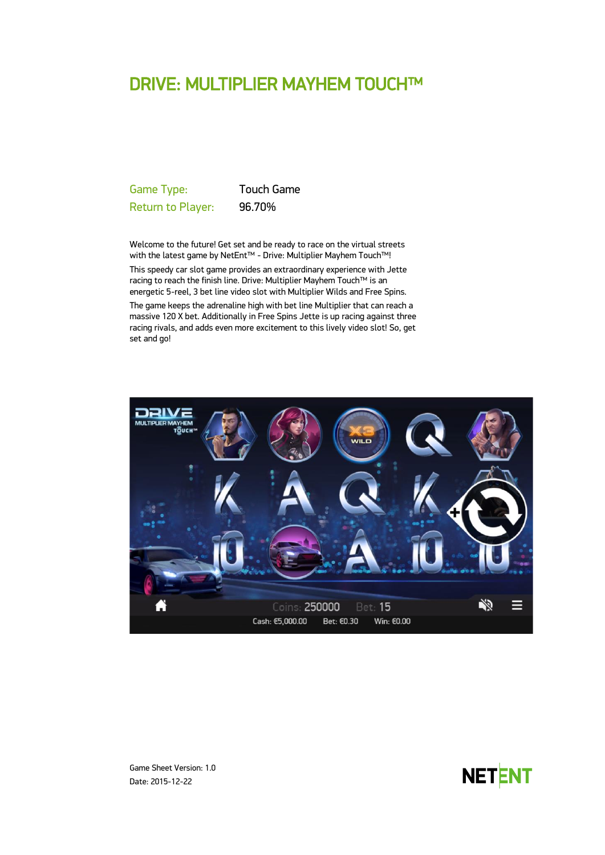# DRIVE: MULTIPLIER MAYHEM TOUCH™

Game Type: Touch Game Return to Player: 96.70%

Welcome to the future! Get set and be ready to race on the virtual streets with the latest game by NetEnt™ - Drive: Multiplier Mayhem Touch™! This speedy car slot game provides an extraordinary experience with Jette racing to reach the finish line. Drive: Multiplier Mayhem Touch™ is an energetic 5-reel, 3 bet line video slot with Multiplier Wilds and Free Spins.

The game keeps the adrenaline high with bet line Multiplier that can reach a massive 120 X bet. Additionally in Free Spins Jette is up racing against three racing rivals, and adds even more excitement to this lively video slot! So, get set and go!





Game Sheet Version: 1.0 Date: 2015-12-22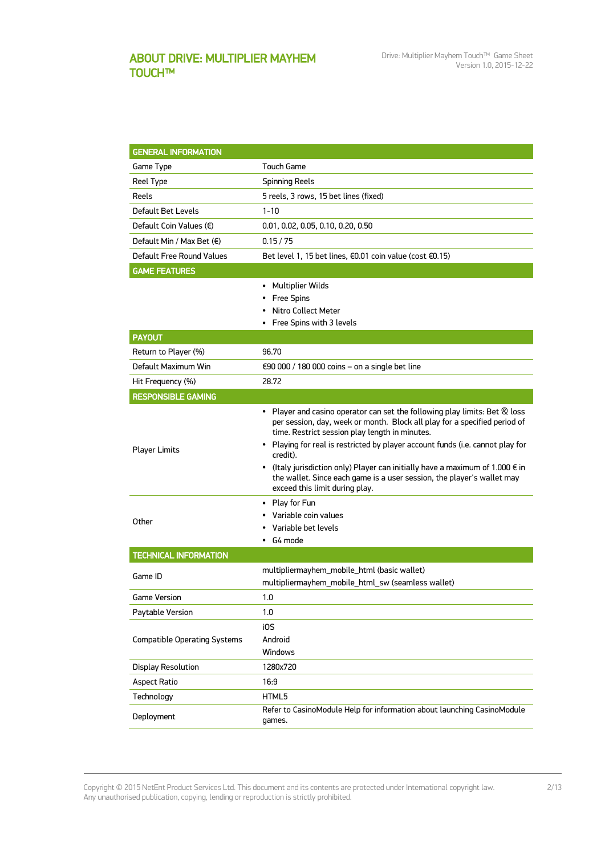## ABOUT DRIVE: MULTIPLIER MAYHEM TOUCH™

| <b>GENERAL INFORMATION</b>          |                                                                                                                                                                                                                                                                                                                                                                                                                                                                                                               |
|-------------------------------------|---------------------------------------------------------------------------------------------------------------------------------------------------------------------------------------------------------------------------------------------------------------------------------------------------------------------------------------------------------------------------------------------------------------------------------------------------------------------------------------------------------------|
| Game Type                           | <b>Touch Game</b>                                                                                                                                                                                                                                                                                                                                                                                                                                                                                             |
| Reel Type                           | <b>Spinning Reels</b>                                                                                                                                                                                                                                                                                                                                                                                                                                                                                         |
| Reels                               | 5 reels, 3 rows, 15 bet lines (fixed)                                                                                                                                                                                                                                                                                                                                                                                                                                                                         |
| Default Bet Levels                  | $1 - 10$                                                                                                                                                                                                                                                                                                                                                                                                                                                                                                      |
| Default Coin Values (€)             | 0.01, 0.02, 0.05, 0.10, 0.20, 0.50                                                                                                                                                                                                                                                                                                                                                                                                                                                                            |
| Default Min / Max Bet (€)           | 0.15/75                                                                                                                                                                                                                                                                                                                                                                                                                                                                                                       |
| Default Free Round Values           | Bet level 1, 15 bet lines, €0.01 coin value (cost €0.15)                                                                                                                                                                                                                                                                                                                                                                                                                                                      |
| <b>GAME FEATURES</b>                |                                                                                                                                                                                                                                                                                                                                                                                                                                                                                                               |
|                                     | • Multiplier Wilds<br>• Free Spins<br>Nitro Collect Meter<br>• Free Spins with 3 levels                                                                                                                                                                                                                                                                                                                                                                                                                       |
| <b>PAYOUT</b>                       |                                                                                                                                                                                                                                                                                                                                                                                                                                                                                                               |
| Return to Player (%)                | 96.70                                                                                                                                                                                                                                                                                                                                                                                                                                                                                                         |
| Default Maximum Win                 | $\epsilon$ 90 000 / 180 000 coins – on a single bet line                                                                                                                                                                                                                                                                                                                                                                                                                                                      |
| Hit Frequency (%)                   | 28.72                                                                                                                                                                                                                                                                                                                                                                                                                                                                                                         |
| <b>RESPONSIBLE GAMING</b>           |                                                                                                                                                                                                                                                                                                                                                                                                                                                                                                               |
| <b>Player Limits</b>                | • Player and casino operator can set the following play limits: Bet & loss<br>per session, day, week or month. Block all play for a specified period of<br>time. Restrict session play length in minutes.<br>• Playing for real is restricted by player account funds (i.e. cannot play for<br>credit).<br>• (Italy jurisdiction only) Player can initially have a maximum of 1.000 $\epsilon$ in<br>the wallet. Since each game is a user session, the player's wallet may<br>exceed this limit during play. |
| Other                               | • Play for Fun<br>Variable coin values<br>Variable bet levels<br>G4 mode                                                                                                                                                                                                                                                                                                                                                                                                                                      |
| <b>TECHNICAL INFORMATION</b>        |                                                                                                                                                                                                                                                                                                                                                                                                                                                                                                               |
| Game ID                             | multipliermayhem_mobile_html (basic wallet)<br>multipliermayhem_mobile_html_sw (seamless wallet)                                                                                                                                                                                                                                                                                                                                                                                                              |
| <b>Game Version</b>                 | 1.0                                                                                                                                                                                                                                                                                                                                                                                                                                                                                                           |
| Paytable Version                    | 1.0                                                                                                                                                                                                                                                                                                                                                                                                                                                                                                           |
| <b>Compatible Operating Systems</b> | i0S<br>Android<br>Windows                                                                                                                                                                                                                                                                                                                                                                                                                                                                                     |
| <b>Display Resolution</b>           | 1280x720                                                                                                                                                                                                                                                                                                                                                                                                                                                                                                      |
| <b>Aspect Ratio</b>                 | 16:9                                                                                                                                                                                                                                                                                                                                                                                                                                                                                                          |
| Technology                          | HTML5                                                                                                                                                                                                                                                                                                                                                                                                                                                                                                         |
| Deployment                          | Refer to CasinoModule Help for information about launching CasinoModule<br>games.                                                                                                                                                                                                                                                                                                                                                                                                                             |

Copyright © 2015 NetEnt Product Services Ltd. This document and its contents are protected under International copyright law. Any unauthorised publication, copying, lending or reproduction is strictly prohibited.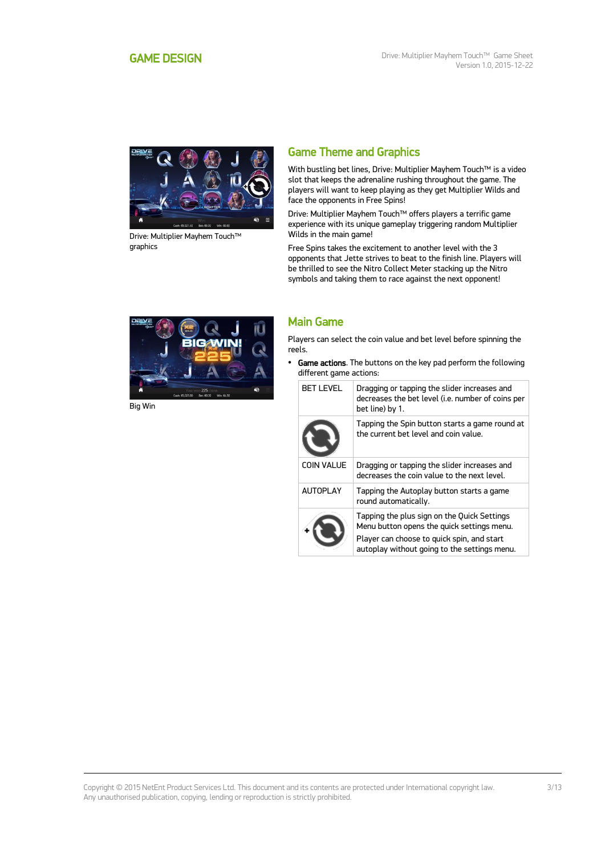<span id="page-2-0"></span>

Drive: Multiplier Mayhem Touch™ graphics

## Game Theme and Graphics

With bustling bet lines, Drive: Multiplier Mayhem Touch™ is a video slot that keeps the adrenaline rushing throughout the game. The players will want to keep playing as they get Multiplier Wilds and face the opponents in Free Spins!

Drive: Multiplier Mayhem Touch™ offers players a terrific game experience with its unique gameplay triggering random Multiplier Wilds in the main game!

Free Spins takes the excitement to another level with the 3 opponents that Jette strives to beat to the finish line. Players will be thrilled to see the Nitro Collect Meter stacking up the Nitro symbols and taking them to race against the next opponent!



Big Win

### Main Game

Players can select the coin value and bet level before spinning the reels.

• Game actions. The buttons on the key pad perform the following different game actions:

| <b>BET LEVEL</b>  | Dragging or tapping the slider increases and<br>decreases the bet level (i.e. number of coins per<br>bet line) by 1.                                                                    |
|-------------------|-----------------------------------------------------------------------------------------------------------------------------------------------------------------------------------------|
|                   | Tapping the Spin button starts a game round at<br>the current het level and coin value.                                                                                                 |
| <b>COIN VALUE</b> | Dragging or tapping the slider increases and<br>decreases the coin value to the next level.                                                                                             |
| <b>AUTOPLAY</b>   | Tapping the Autoplay button starts a game<br>round automatically.                                                                                                                       |
|                   | Tapping the plus sign on the Quick Settings<br>Menu button opens the quick settings menu.<br>Player can choose to quick spin, and start<br>autoplay without going to the settings menu. |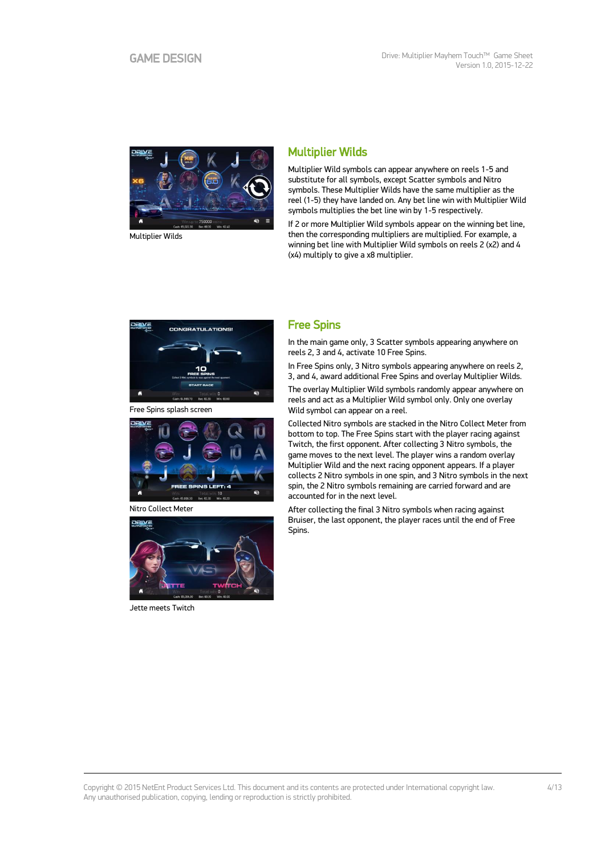

Multiplier Wilds

## Multiplier Wilds

Multiplier Wild symbols can appear anywhere on reels 1-5 and substitute for all symbols, except Scatter symbols and Nitro symbols. These Multiplier Wilds have the same multiplier as the reel (1-5) they have landed on. Any bet line win with Multiplier Wild symbols multiplies the bet line win by 1-5 respectively.

If 2 or more Multiplier Wild symbols appear on the winning bet line, then the corresponding multipliers are multiplied. For example, a winning bet line with Multiplier Wild symbols on reels 2 (x2) and 4 (x4) multiply to give a x8 multiplier.



Free Spins splash screen



Nitro Collect Meter



Jette meets Twitch

### Free Spins

In the main game only, 3 Scatter symbols appearing anywhere on reels 2, 3 and 4, activate 10 Free Spins.

In Free Spins only, 3 Nitro symbols appearing anywhere on reels 2, 3, and 4, award additional Free Spins and overlay Multiplier Wilds.

The overlay Multiplier Wild symbols randomly appear anywhere on reels and act as a Multiplier Wild symbol only. Only one overlay Wild symbol can appear on a reel.

Collected Nitro symbols are stacked in the Nitro Collect Meter from bottom to top. The Free Spins start with the player racing against Twitch, the first opponent. After collecting 3 Nitro symbols, the game moves to the next level. The player wins a random overlay Multiplier Wild and the next racing opponent appears. If a player collects 2 Nitro symbols in one spin, and 3 Nitro symbols in the next spin, the 2 Nitro symbols remaining are carried forward and are accounted for in the next level.

After collecting the final 3 Nitro symbols when racing against Bruiser, the last opponent, the player races until the end of Free Spins.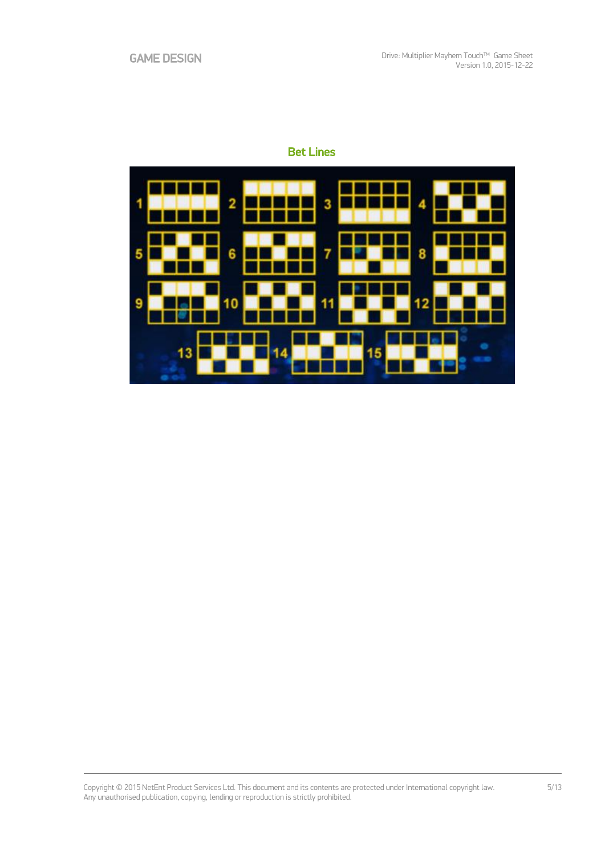## Bet Lines

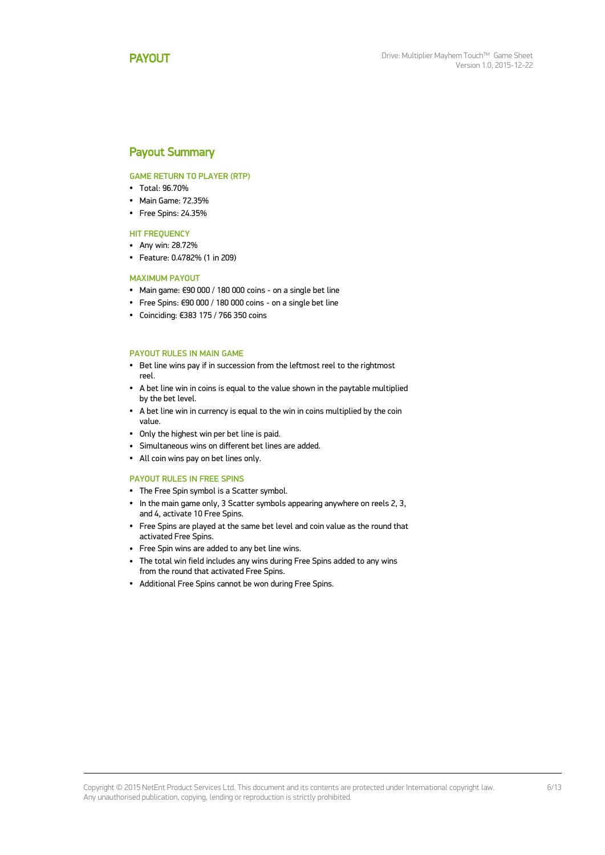### <span id="page-5-0"></span>Payout Summary

#### GAME RETURN TO PLAYER (RTP)

- Total: 96.70%
- Main Game: 72.35%
- Free Spins: 24.35%

#### **HIT FREQUENCY**

- Any win: 28.72%
- Feature: 0.4782% (1 in 209)

#### MAXIMUM PAYOUT

- Main game: €90 000 / 180 000 coins on a single bet line
- Free Spins: €90 000 / 180 000 coins on a single bet line
- Coinciding: €383 175 / 766 350 coins

#### PAYOUT RULES IN MAIN GAME

- Bet line wins pay if in succession from the leftmost reel to the rightmost reel.
- A bet line win in coins is equal to the value shown in the paytable multiplied by the bet level.
- A bet line win in currency is equal to the win in coins multiplied by the coin value.
- Only the highest win per bet line is paid.
- Simultaneous wins on different bet lines are added.
- All coin wins pay on bet lines only.

#### PAYOUT RULES IN FREE SPINS

- The Free Spin symbol is a Scatter symbol.
- In the main game only, 3 Scatter symbols appearing anywhere on reels 2, 3, and 4, activate 10 Free Spins.
- Free Spins are played at the same bet level and coin value as the round that activated Free Spins.
- Free Spin wins are added to any bet line wins.
- The total win field includes any wins during Free Spins added to any wins from the round that activated Free Spins.
- Additional Free Spins cannot be won during Free Spins.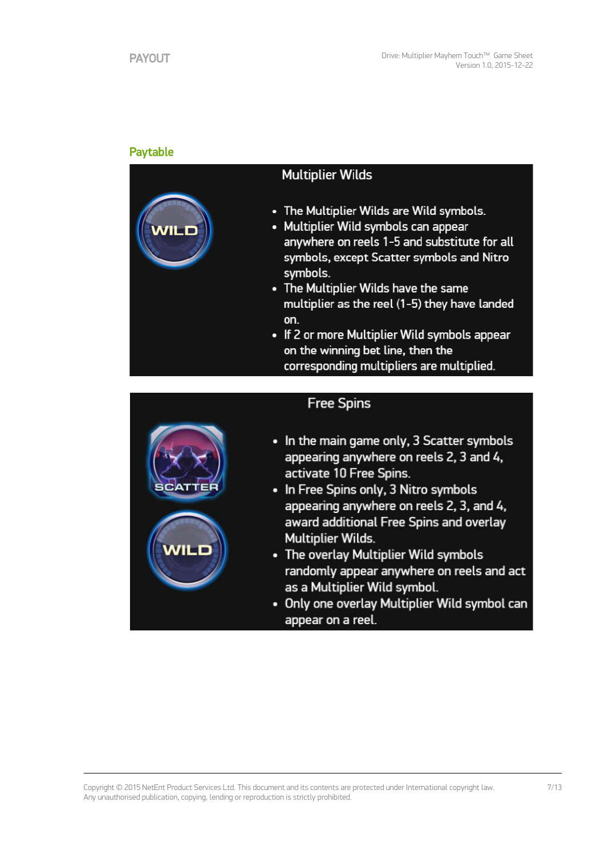## Paytable

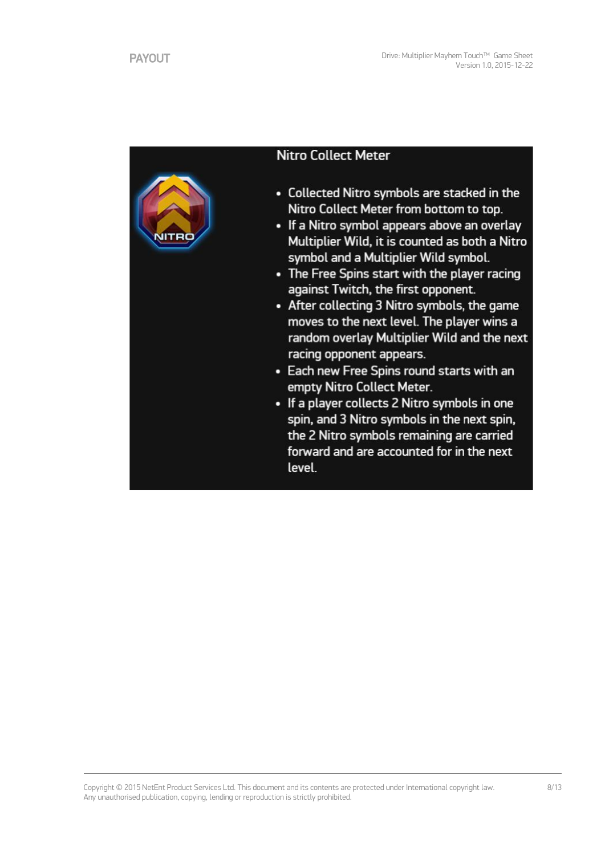

## **Nitro Collect Meter**

- Collected Nitro symbols are stacked in the Nitro Collect Meter from bottom to top.
- If a Nitro symbol appears above an overlay Multiplier Wild, it is counted as both a Nitro symbol and a Multiplier Wild symbol.
- The Free Spins start with the player racing against Twitch, the first opponent.
- After collecting 3 Nitro symbols, the game moves to the next level. The player wins a random overlay Multiplier Wild and the next racing opponent appears.
- Each new Free Spins round starts with an empty Nitro Collect Meter.
- If a player collects 2 Nitro symbols in one spin, and 3 Nitro symbols in the next spin, the 2 Nitro symbols remaining are carried forward and are accounted for in the next level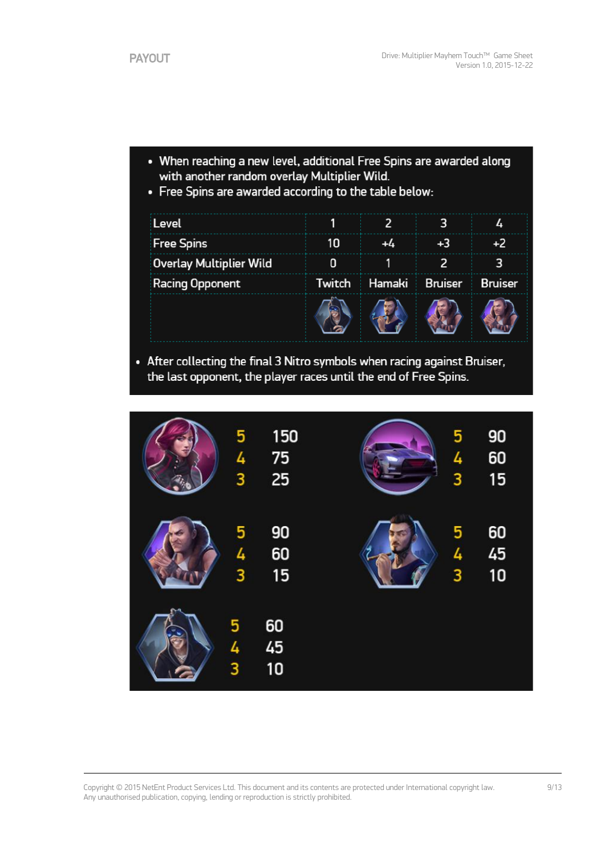- When reaching a new level, additional Free Spins are awarded along with another random overlay Multiplier Wild.
- Free Spins are awarded according to the table below:

| Level                          |        | $\overline{2}$ | 3              | Δ.             |
|--------------------------------|--------|----------------|----------------|----------------|
| <b>Free Spins</b>              | 10     | +4             | $+3$           | $+2$           |
| <b>Overlay Multiplier Wild</b> | 0      |                | 2              | 3              |
| <b>Racing Opponent</b>         | Twitch | Hamaki         | <b>Bruiser</b> | <b>Bruiser</b> |
|                                |        |                |                |                |

• After collecting the final 3 Nitro symbols when racing against Bruiser, the last opponent, the player races until the end of Free Spins.

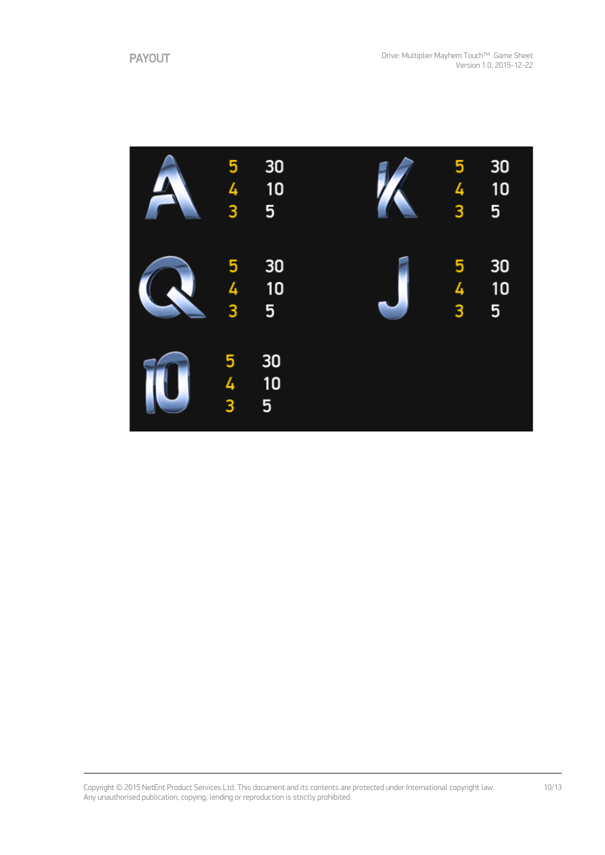

Copyright © 2015 NetEnt Product Services Ltd. This document and its contents are protected under International copyright law. Any unauthorised publication, copying, lending or reproduction is strictly prohibited.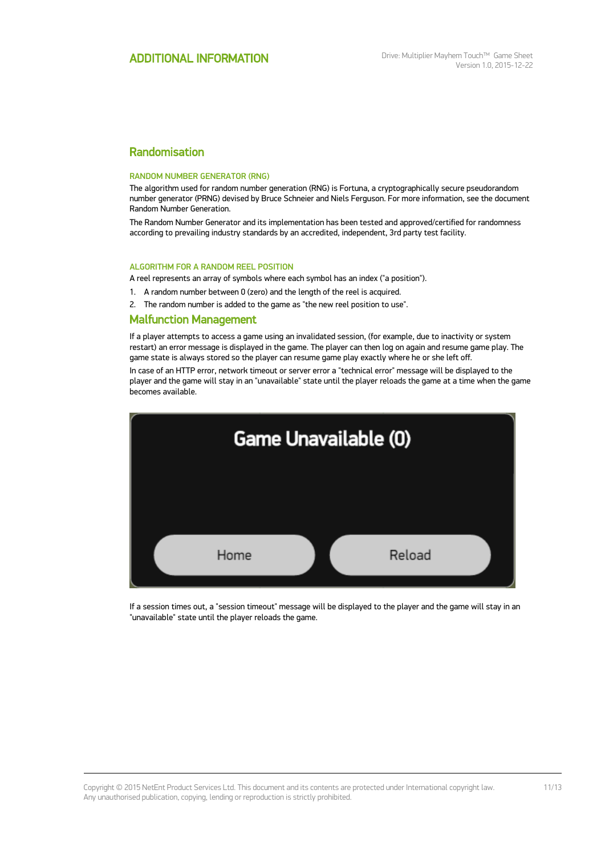## Randomisation

#### RANDOM NUMBER GENERATOR (RNG)

The algorithm used for random number generation (RNG) is Fortuna, a cryptographically secure pseudorandom number generator (PRNG) devised by Bruce Schneier and Niels Ferguson. For more information, see the document Random Number Generation.

The Random Number Generator and its implementation has been tested and approved/certified for randomness according to prevailing industry standards by an accredited, independent, 3rd party test facility.

#### ALGORITHM FOR A RANDOM REEL POSITION

A reel represents an array of symbols where each symbol has an index ("a position").

1. A random number between 0 (zero) and the length of the reel is acquired.

2. The random number is added to the game as "the new reel position to use".

#### Malfunction Management

If a player attempts to access a game using an invalidated session, (for example, due to inactivity or system restart) an error message is displayed in the game. The player can then log on again and resume game play. The game state is always stored so the player can resume game play exactly where he or she left off.

In case of an HTTP error, network timeout or server error a "technical error" message will be displayed to the player and the game will stay in an "unavailable" state until the player reloads the game at a time when the game becomes available.



If a session times out, a "session timeout" message will be displayed to the player and the game will stay in an "unavailable" state until the player reloads the game.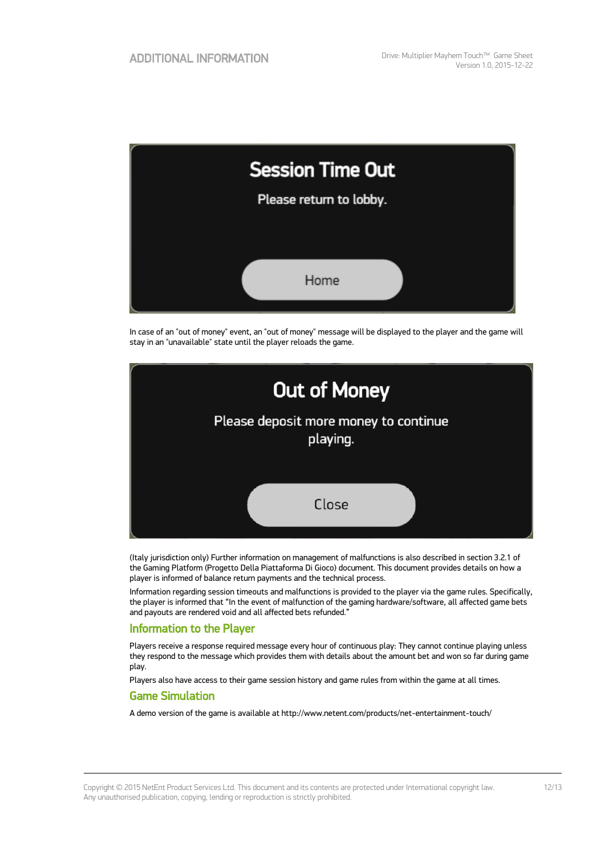| <b>Session Time Out</b> |  |
|-------------------------|--|
| Please return to lobby. |  |
|                         |  |
| Home                    |  |

In case of an "out of money" event, an "out of money" message will be displayed to the player and the game will stay in an "unavailable" state until the player reloads the game.



(Italy jurisdiction only) Further information on management of malfunctions is also described in section 3.2.1 of the Gaming Platform (Progetto Della Piattaforma Di Gioco) document. This document provides details on how a player is informed of balance return payments and the technical process.

Information regarding session timeouts and malfunctions is provided to the player via the game rules. Specifically, the player is informed that "In the event of malfunction of the gaming hardware/software, all affected game bets and payouts are rendered void and all affected bets refunded."

### Information to the Player

Players receive a response required message every hour of continuous play: They cannot continue playing unless they respond to the message which provides them with details about the amount bet and won so far during game play.

Players also have access to their game session history and game rules from within the game at all times.

#### Game Simulation

A demo version of the game is available at http://www.netent.com/products/net-entertainment-touch/